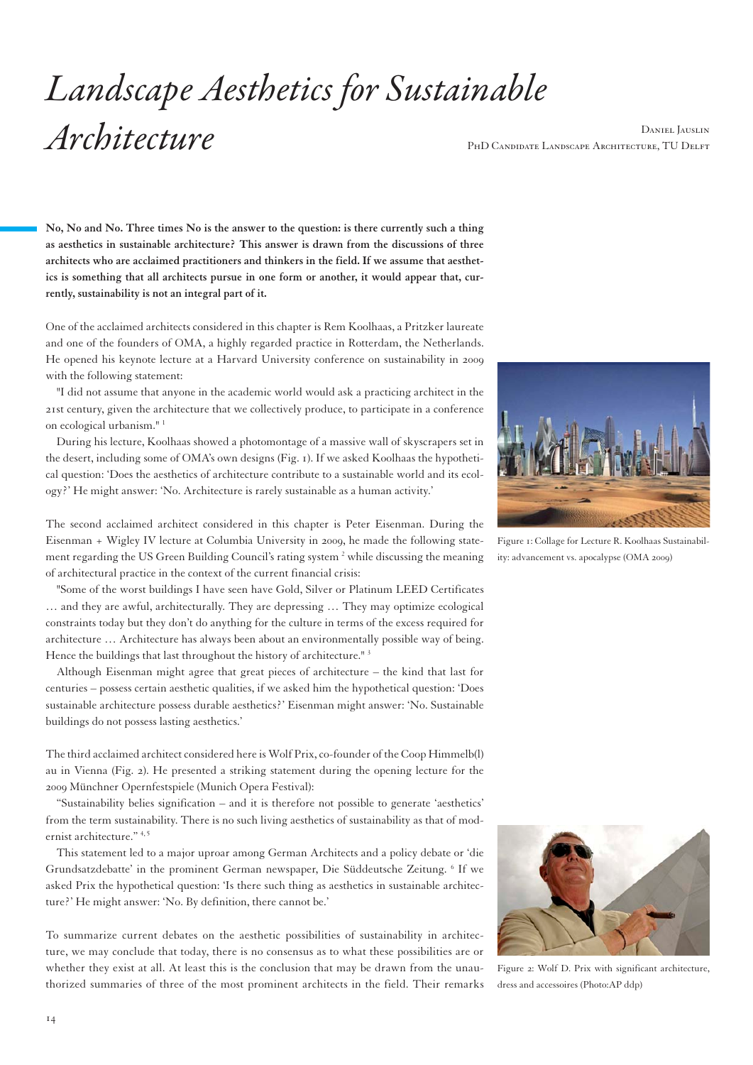## *Landscape Aesthetics for Sustainable Architecture* Daniel Jauslin

PHD CANDIDATE LANDSCAPE ARCHITECTURE, TU DELFT

**No, No and No. Three times No is the answer to the question: is there currently such a thing as aesthetics in sustainable architecture? This answer is drawn from the discussions of three architects who are acclaimed practitioners and thinkers in the field. If we assume that aesthetics is something that all architects pursue in one form or another, it would appear that, currently, sustainability is not an integral part of it.** 

One of the acclaimed architects considered in this chapter is Rem Koolhaas, a Pritzker laureate and one of the founders of OMA, a highly regarded practice in Rotterdam, the Netherlands. He opened his keynote lecture at a Harvard University conference on sustainability in 2009 with the following statement:

"I did not assume that anyone in the academic world would ask a practicing architect in the 21st century, given the architecture that we collectively produce, to participate in a conference on ecological urbanism."<sup>1</sup>

During his lecture, Koolhaas showed a photomontage of a massive wall of skyscrapers set in the desert, including some of OMA's own designs (Fig. 1). If we asked Koolhaas the hypothetical question: 'Does the aesthetics of architecture contribute to a sustainable world and its ecology?' He might answer: 'No. Architecture is rarely sustainable as a human activity.'

The second acclaimed architect considered in this chapter is Peter Eisenman. During the Eisenman + Wigley IV lecture at Columbia University in 2009, he made the following statement regarding the US Green Building Council's rating system<sup>2</sup> while discussing the meaning of architectural practice in the context of the current financial crisis:

"Some of the worst buildings I have seen have Gold, Silver or Platinum LEED Certificates … and they are awful, architecturally. They are depressing … They may optimize ecological constraints today but they don't do anything for the culture in terms of the excess required for architecture … Architecture has always been about an environmentally possible way of being. Hence the buildings that last throughout the history of architecture.<sup>" 3</sup>

Although Eisenman might agree that great pieces of architecture – the kind that last for centuries – possess certain aesthetic qualities, if we asked him the hypothetical question: 'Does sustainable architecture possess durable aesthetics?' Eisenman might answer: 'No. Sustainable buildings do not possess lasting aesthetics.'

The third acclaimed architect considered here is Wolf Prix, co-founder of the Coop Himmelb(l) au in Vienna (Fig. 2). He presented a striking statement during the opening lecture for the 2009 Münchner Opernfestspiele (Munich Opera Festival):

"Sustainability belies signification – and it is therefore not possible to generate 'aesthetics' from the term sustainability. There is no such living aesthetics of sustainability as that of modernist architecture." 4,5

This statement led to a major uproar among German Architects and a policy debate or 'die Grundsatzdebatte' in the prominent German newspaper, Die Süddeutsche Zeitung. <sup>6</sup> If we asked Prix the hypothetical question: 'Is there such thing as aesthetics in sustainable architecture?' He might answer: 'No. By definition, there cannot be.'

To summarize current debates on the aesthetic possibilities of sustainability in architecture, we may conclude that today, there is no consensus as to what these possibilities are or whether they exist at all. At least this is the conclusion that may be drawn from the unauthorized summaries of three of the most prominent architects in the field. Their remarks



Figure 1: Collage for Lecture R. Koolhaas Sustainability: advancement vs. apocalypse (OMA 2009)



Figure 2: Wolf D. Prix with significant architecture, dress and accessoires (Photo:AP ddp)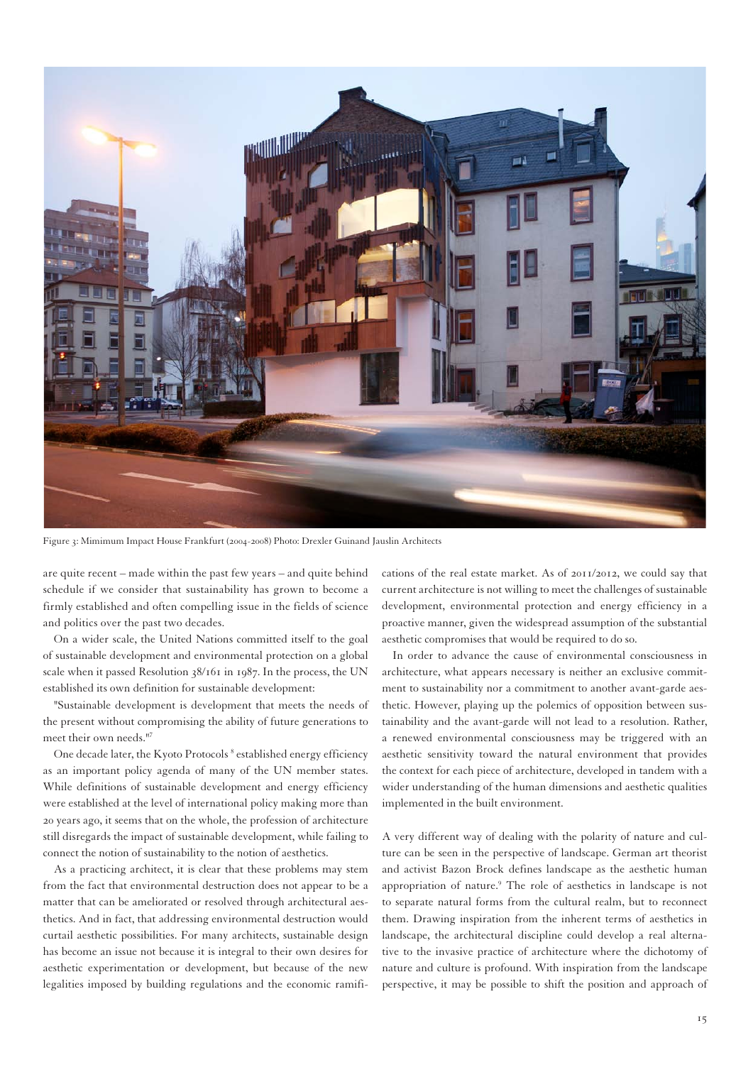

Figure 3: Mimimum Impact House Frankfurt (2004-2008) Photo: Drexler Guinand Jauslin Architects

are quite recent – made within the past few years – and quite behind schedule if we consider that sustainability has grown to become a firmly established and often compelling issue in the fields of science and politics over the past two decades.

On a wider scale, the United Nations committed itself to the goal of sustainable development and environmental protection on a global scale when it passed Resolution 38/161 in 1987. In the process, the UN established its own definition for sustainable development:

"Sustainable development is development that meets the needs of the present without compromising the ability of future generations to meet their own needs."7

One decade later, the Kyoto Protocols <sup>8</sup> established energy efficiency as an important policy agenda of many of the UN member states. While definitions of sustainable development and energy efficiency were established at the level of international policy making more than 20 years ago, it seems that on the whole, the profession of architecture still disregards the impact of sustainable development, while failing to connect the notion of sustainability to the notion of aesthetics.

As a practicing architect, it is clear that these problems may stem from the fact that environmental destruction does not appear to be a matter that can be ameliorated or resolved through architectural aesthetics. And in fact, that addressing environmental destruction would curtail aesthetic possibilities. For many architects, sustainable design has become an issue not because it is integral to their own desires for aesthetic experimentation or development, but because of the new legalities imposed by building regulations and the economic ramifications of the real estate market. As of 2011/2012, we could say that current architecture is not willing to meet the challenges of sustainable development, environmental protection and energy efficiency in a proactive manner, given the widespread assumption of the substantial aesthetic compromises that would be required to do so.

In order to advance the cause of environmental consciousness in architecture, what appears necessary is neither an exclusive commitment to sustainability nor a commitment to another avant-garde aesthetic. However, playing up the polemics of opposition between sustainability and the avant-garde will not lead to a resolution. Rather, a renewed environmental consciousness may be triggered with an aesthetic sensitivity toward the natural environment that provides the context for each piece of architecture, developed in tandem with a wider understanding of the human dimensions and aesthetic qualities implemented in the built environment.

A very different way of dealing with the polarity of nature and culture can be seen in the perspective of landscape. German art theorist and activist Bazon Brock defines landscape as the aesthetic human appropriation of nature.<sup>9</sup> The role of aesthetics in landscape is not to separate natural forms from the cultural realm, but to reconnect them. Drawing inspiration from the inherent terms of aesthetics in landscape, the architectural discipline could develop a real alternative to the invasive practice of architecture where the dichotomy of nature and culture is profound. With inspiration from the landscape perspective, it may be possible to shift the position and approach of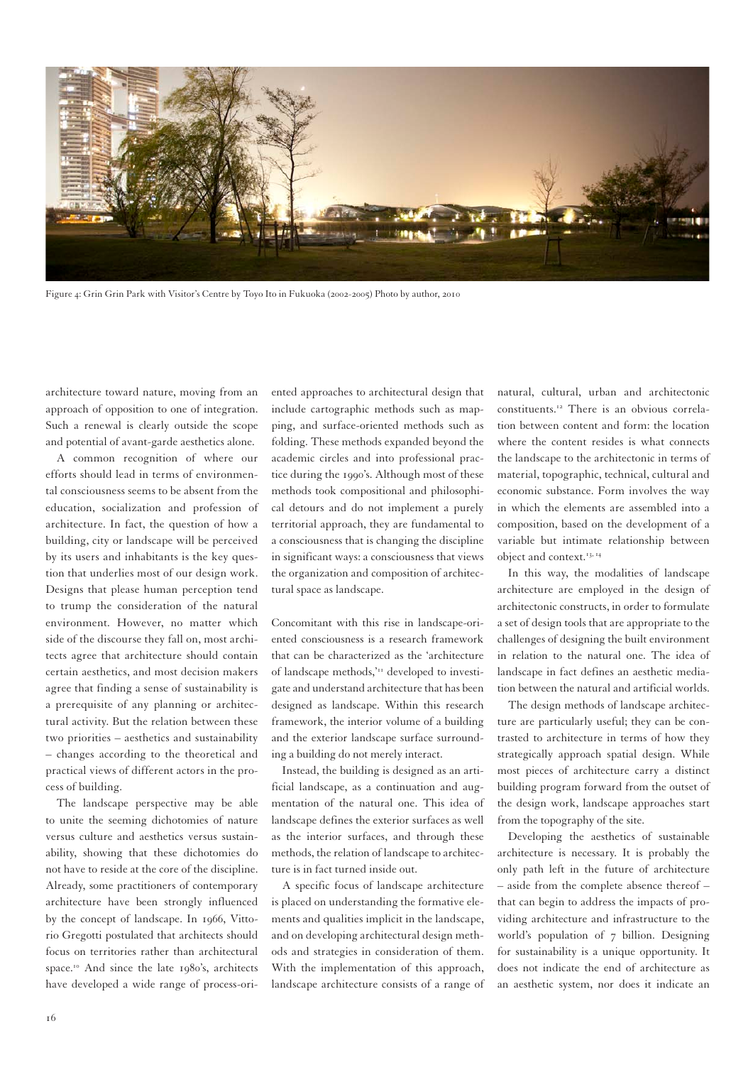

Figure 4: Grin Grin Park with Visitor's Centre by Toyo Ito in Fukuoka (2002-2005) Photo by author, 2010

architecture toward nature, moving from an approach of opposition to one of integration. Such a renewal is clearly outside the scope and potential of avant-garde aesthetics alone.

A common recognition of where our efforts should lead in terms of environmental consciousness seems to be absent from the education, socialization and profession of architecture. In fact, the question of how a building, city or landscape will be perceived by its users and inhabitants is the key question that underlies most of our design work. Designs that please human perception tend to trump the consideration of the natural environment. However, no matter which side of the discourse they fall on, most architects agree that architecture should contain certain aesthetics, and most decision makers agree that finding a sense of sustainability is a prerequisite of any planning or architectural activity. But the relation between these two priorities – aesthetics and sustainability – changes according to the theoretical and practical views of different actors in the process of building.

The landscape perspective may be able to unite the seeming dichotomies of nature versus culture and aesthetics versus sustainability, showing that these dichotomies do not have to reside at the core of the discipline. Already, some practitioners of contemporary architecture have been strongly influenced by the concept of landscape. In 1966, Vittorio Gregotti postulated that architects should focus on territories rather than architectural space.<sup>10</sup> And since the late 1980's, architects have developed a wide range of process-oriented approaches to architectural design that include cartographic methods such as mapping, and surface-oriented methods such as folding. These methods expanded beyond the academic circles and into professional practice during the 1990's. Although most of these methods took compositional and philosophical detours and do not implement a purely territorial approach, they are fundamental to a consciousness that is changing the discipline in significant ways: a consciousness that views the organization and composition of architectural space as landscape.

Concomitant with this rise in landscape-oriented consciousness is a research framework that can be characterized as the 'architecture of landscape methods,<sup>'11</sup> developed to investigate and understand architecture that has been designed as landscape. Within this research framework, the interior volume of a building and the exterior landscape surface surrounding a building do not merely interact.

Instead, the building is designed as an artificial landscape, as a continuation and augmentation of the natural one. This idea of landscape defines the exterior surfaces as well as the interior surfaces, and through these methods, the relation of landscape to architecture is in fact turned inside out.

A specific focus of landscape architecture is placed on understanding the formative elements and qualities implicit in the landscape, and on developing architectural design methods and strategies in consideration of them. With the implementation of this approach, landscape architecture consists of a range of natural, cultural, urban and architectonic constituents.12 There is an obvious correlation between content and form: the location where the content resides is what connects the landscape to the architectonic in terms of material, topographic, technical, cultural and economic substance. Form involves the way in which the elements are assembled into a composition, based on the development of a variable but intimate relationship between object and context.<sup>13, 14</sup>

In this way, the modalities of landscape architecture are employed in the design of architectonic constructs, in order to formulate a set of design tools that are appropriate to the challenges of designing the built environment in relation to the natural one. The idea of landscape in fact defines an aesthetic mediation between the natural and artificial worlds.

The design methods of landscape architecture are particularly useful; they can be contrasted to architecture in terms of how they strategically approach spatial design. While most pieces of architecture carry a distinct building program forward from the outset of the design work, landscape approaches start from the topography of the site.

Developing the aesthetics of sustainable architecture is necessary. It is probably the only path left in the future of architecture – aside from the complete absence thereof – that can begin to address the impacts of providing architecture and infrastructure to the world's population of 7 billion. Designing for sustainability is a unique opportunity. It does not indicate the end of architecture as an aesthetic system, nor does it indicate an